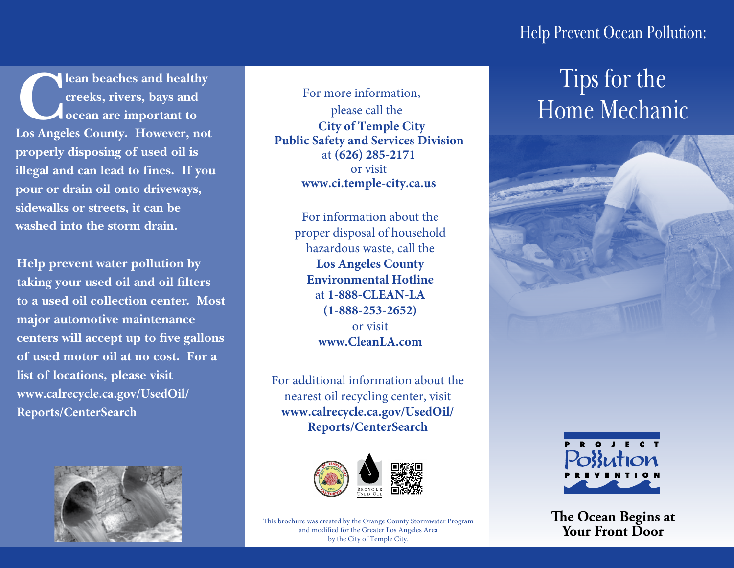### Help Prevent Ocean Pollution:

**Clean beaches and healthy creeks, rivers, bays and ocean are important to Los Angeles County. However, not properly disposing of used oil is illegal and can lead to fines. If you pour or drain oil onto driveways, sidewalks or streets, it can be washed into the storm drain.** 

**Help prevent water pollution by taking your used oil and oil filters to a used oil collection center. Most major automotive maintenance centers will accept up to five gallons of used motor oil at no cost. For a list of locations, please visit www.calrecycle.ca.gov/UsedOil/ Reports/CenterSearch**



For more information, please call the  **City of Temple City Public Safety and Services Division** at **(626) 285-2171**  or visit **www.ci.temple-city.ca.us**

> For information about the proper disposal of household hazardous waste, call the **Los Angeles County Environmental Hotline** at **1-888-CLEAN-LA (1-888-253-2652)** or visit **www.CleanLA.com**

For additional information about the nearest oil recycling center, visit **www.calrecycle.ca.gov/UsedOil/ Reports/CenterSearch**



This brochure was created by the Orange County Stormwater Program and modified for the Greater Los Angeles Area by the City of Temple City.

## Tips for the Home Mechanic





**The Ocean Begins at Your Front Door**